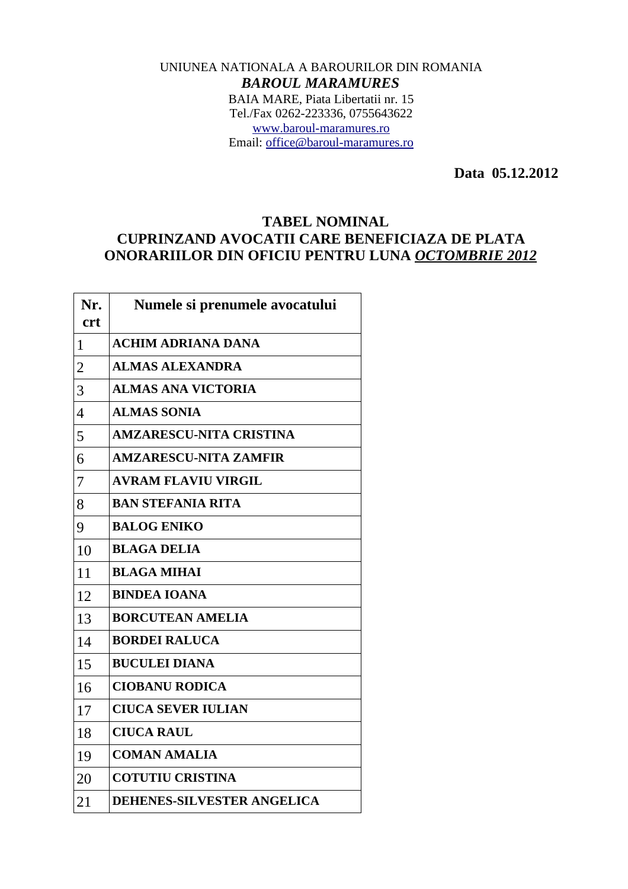## UNIUNEA NATIONALA A BAROURILOR DIN ROMANIA *BAROUL MARAMURES* BAIA MARE, Piata Libertatii nr. 15 Tel./Fax 0262-223336, 0755643622 [www.baroul-maramures.ro](http://www.baroul-maramures.ro/) Email: [office@baroul-maramures.ro](mailto:office@baroul-maramures.ro)

 **Data 05.12.2012**

## **TABEL NOMINAL CUPRINZAND AVOCATII CARE BENEFICIAZA DE PLATA ONORARIILOR DIN OFICIU PENTRU LUNA** *OCTOMBRIE 2012*

| Nr.<br><b>crt</b> | Numele si prenumele avocatului |
|-------------------|--------------------------------|
| $\mathbf{1}$      | <b>ACHIM ADRIANA DANA</b>      |
| $\overline{2}$    | <b>ALMAS ALEXANDRA</b>         |
| 3                 | <b>ALMAS ANA VICTORIA</b>      |
| $\overline{4}$    | <b>ALMAS SONIA</b>             |
| 5                 | <b>AMZARESCU-NITA CRISTINA</b> |
| 6                 | <b>AMZARESCU-NITA ZAMFIR</b>   |
| 7                 | <b>AVRAM FLAVIU VIRGIL</b>     |
| 8                 | <b>BAN STEFANIA RITA</b>       |
| 9                 | <b>BALOG ENIKO</b>             |
| 10                | <b>BLAGA DELIA</b>             |
| 11                | <b>BLAGA MIHAI</b>             |
| 12                | <b>BINDEA IOANA</b>            |
| 13                | <b>BORCUTEAN AMELIA</b>        |
| 14                | <b>BORDEI RALUCA</b>           |
| 15                | <b>BUCULEI DIANA</b>           |
| 16                | <b>CIOBANU RODICA</b>          |
| 17                | <b>CIUCA SEVER IULIAN</b>      |
| 18                | <b>CIUCA RAUL</b>              |
| 19                | <b>COMAN AMALIA</b>            |
| 20                | <b>COTUTIU CRISTINA</b>        |
| 21                | DEHENES-SILVESTER ANGELICA     |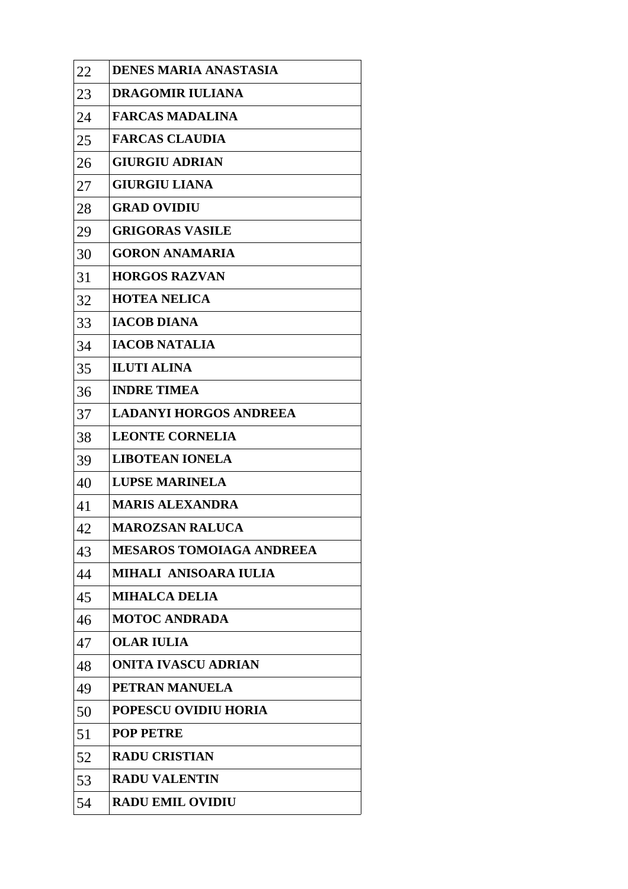| 22 | <b>DENES MARIA ANASTASIA</b>    |
|----|---------------------------------|
| 23 | DRAGOMIR IULIANA                |
| 24 | <b>FARCAS MADALINA</b>          |
| 25 | <b>FARCAS CLAUDIA</b>           |
| 26 | <b>GIURGIU ADRIAN</b>           |
| 27 | <b>GIURGIU LIANA</b>            |
| 28 | <b>GRAD OVIDIU</b>              |
| 29 | <b>GRIGORAS VASILE</b>          |
| 30 | <b>GORON ANAMARIA</b>           |
| 31 | <b>HORGOS RAZVAN</b>            |
| 32 | <b>HOTEA NELICA</b>             |
| 33 | <b>IACOB DIANA</b>              |
| 34 | <b>IACOB NATALIA</b>            |
| 35 | <b>ILUTI ALINA</b>              |
| 36 | <b>INDRE TIMEA</b>              |
| 37 | <b>LADANYI HORGOS ANDREEA</b>   |
| 38 | <b>LEONTE CORNELIA</b>          |
| 39 | <b>LIBOTEAN IONELA</b>          |
| 40 | <b>LUPSE MARINELA</b>           |
| 41 | <b>MARIS ALEXANDRA</b>          |
| 42 | <b>MAROZSAN RALUCA</b>          |
| 43 | <b>MESAROS TOMOIAGA ANDREEA</b> |
| 44 | MIHALI ANISOARA IULIA           |
| 45 | <b>MIHALCA DELIA</b>            |
| 46 | <b>MOTOC ANDRADA</b>            |
| 47 | <b>OLAR IULIA</b>               |
| 48 | <b>ONITA IVASCU ADRIAN</b>      |
| 49 | PETRAN MANUELA                  |
| 50 | <b>POPESCU OVIDIU HORIA</b>     |
| 51 | <b>POP PETRE</b>                |
| 52 | <b>RADU CRISTIAN</b>            |
| 53 | <b>RADU VALENTIN</b>            |
| 54 | <b>RADU EMIL OVIDIU</b>         |